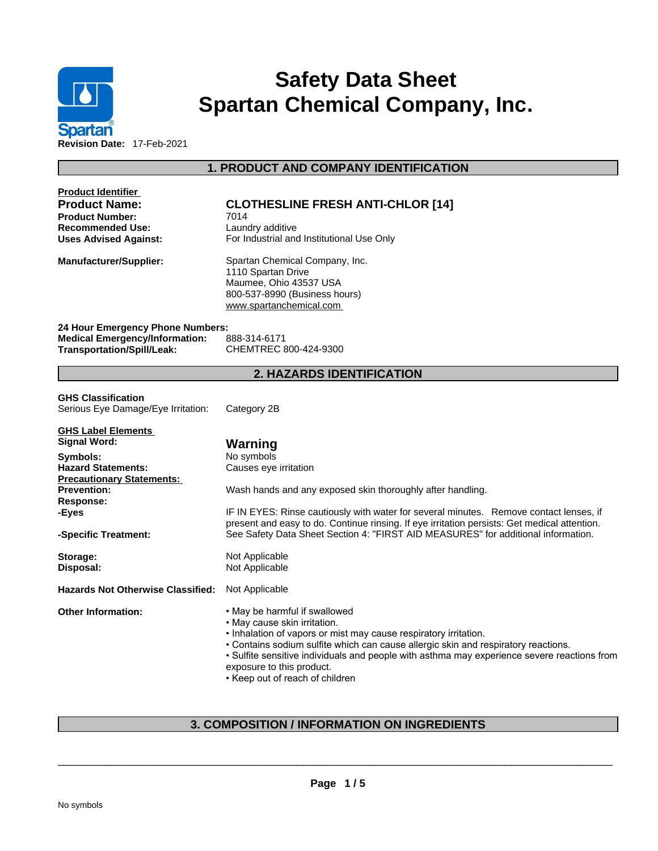

# **Safety Data Sheet Spartan Chemical Company, Inc.**

**1. PRODUCT AND COMPANY IDENTIFICATION** 

| <b>Product Identifier</b>                                                  |                                                                                              |
|----------------------------------------------------------------------------|----------------------------------------------------------------------------------------------|
| <b>Product Name:</b>                                                       | <b>CLOTHESLINE FRESH ANTI-CHLOR [14]</b>                                                     |
| <b>Product Number:</b>                                                     | 7014                                                                                         |
| <b>Recommended Use:</b>                                                    | Laundry additive                                                                             |
| <b>Uses Advised Against:</b>                                               | For Industrial and Institutional Use Only                                                    |
| <b>Manufacturer/Supplier:</b>                                              | Spartan Chemical Company, Inc.                                                               |
|                                                                            | 1110 Spartan Drive                                                                           |
|                                                                            | Maumee, Ohio 43537 USA                                                                       |
|                                                                            | 800-537-8990 (Business hours)<br>www.spartanchemical.com                                     |
|                                                                            |                                                                                              |
| 24 Hour Emergency Phone Numbers:                                           |                                                                                              |
| <b>Medical Emergency/Information:</b><br><b>Transportation/Spill/Leak:</b> | 888-314-6171<br>CHEMTREC 800-424-9300                                                        |
|                                                                            |                                                                                              |
|                                                                            | <b>2. HAZARDS IDENTIFICATION</b>                                                             |
| <b>GHS Classification</b>                                                  |                                                                                              |
| Serious Eye Damage/Eye Irritation:                                         | Category 2B                                                                                  |
|                                                                            |                                                                                              |
| <b>GHS Label Elements</b>                                                  |                                                                                              |
| <b>Signal Word:</b>                                                        | Warning                                                                                      |
| Symbols:                                                                   | No symbols                                                                                   |
| <b>Hazard Statements:</b>                                                  | Causes eye irritation                                                                        |
| <b>Precautionary Statements:</b><br><b>Prevention:</b>                     | Wash hands and any exposed skin thoroughly after handling.                                   |
| Response:                                                                  |                                                                                              |
| -Eyes                                                                      | IF IN EYES: Rinse cautiously with water for several minutes. Remove contact lenses, if       |
|                                                                            | present and easy to do. Continue rinsing. If eye irritation persists: Get medical attention. |
| -Specific Treatment:                                                       | See Safety Data Sheet Section 4: "FIRST AID MEASURES" for additional information.            |
| Storage:                                                                   | Not Applicable                                                                               |
| Disposal:                                                                  | Not Applicable                                                                               |
|                                                                            |                                                                                              |
| <b>Hazards Not Otherwise Classified:</b>                                   | Not Applicable                                                                               |
| <b>Other Information:</b>                                                  | • May be harmful if swallowed                                                                |
|                                                                            | • May cause skin irritation.                                                                 |
|                                                                            | . Inhalation of vapors or mist may cause respiratory irritation.                             |
|                                                                            | • Contains sodium sulfite which can cause allergic skin and respiratory reactions.           |
|                                                                            | • Sulfite sensitive individuals and people with asthma may experience severe reactions from  |
|                                                                            | exposure to this product.                                                                    |
|                                                                            | • Keep out of reach of children                                                              |
|                                                                            |                                                                                              |

# **3. COMPOSITION / INFORMATION ON INGREDIENTS**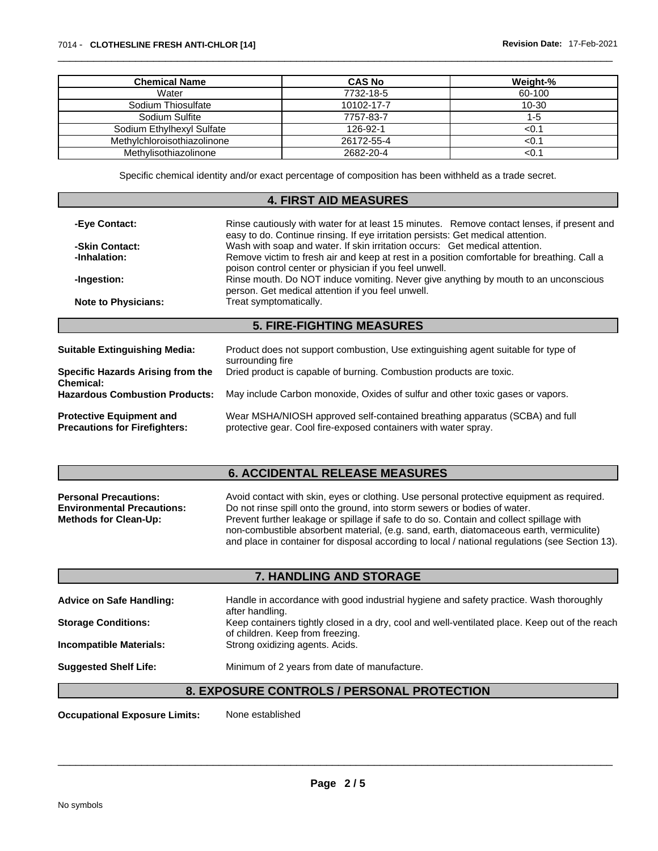| <b>Chemical Name</b>        | <b>CAS No</b> | Weight-%  |
|-----------------------------|---------------|-----------|
| Water                       | 7732-18-5     | 60-100    |
| Sodium Thiosulfate          | 10102-17-7    | $10 - 30$ |
| Sodium Sulfite              | 7757-83-7     | 1-5       |
| Sodium Ethylhexyl Sulfate   | 126-92-1      | ${<}0.1$  |
| Methylchloroisothiazolinone | 26172-55-4    | < 0.1     |
| Methylisothiazolinone       | 2682-20-4     | < 0.1     |

Specific chemical identity and/or exact percentage of composition has been withheld as a trade secret.

## **4. FIRST AID MEASURES**

| Rinse cautiously with water for at least 15 minutes. Remove contact lenses, if present and<br>-Eye Contact:<br>easy to do. Continue rinsing. If eye irritation persists: Get medical attention.                                                                        |                                                                                                                                                |  |  |  |
|------------------------------------------------------------------------------------------------------------------------------------------------------------------------------------------------------------------------------------------------------------------------|------------------------------------------------------------------------------------------------------------------------------------------------|--|--|--|
| Wash with soap and water. If skin irritation occurs: Get medical attention.<br>-Skin Contact:<br>Remove victim to fresh air and keep at rest in a position comfortable for breathing. Call a<br>-Inhalation:<br>poison control center or physician if you feel unwell. |                                                                                                                                                |  |  |  |
|                                                                                                                                                                                                                                                                        |                                                                                                                                                |  |  |  |
| <b>Note to Physicians:</b>                                                                                                                                                                                                                                             | Treat symptomatically.                                                                                                                         |  |  |  |
| <b>5. FIRE-FIGHTING MEASURES</b>                                                                                                                                                                                                                                       |                                                                                                                                                |  |  |  |
|                                                                                                                                                                                                                                                                        |                                                                                                                                                |  |  |  |
| <b>Suitable Extinguishing Media:</b>                                                                                                                                                                                                                                   | Product does not support combustion. Use extinguishing agent suitable for type of<br>surrounding fire                                          |  |  |  |
| Specific Hazards Arising from the<br>Chemical:                                                                                                                                                                                                                         | Dried product is capable of burning. Combustion products are toxic.                                                                            |  |  |  |
| <b>Hazardous Combustion Products:</b>                                                                                                                                                                                                                                  | May include Carbon monoxide, Oxides of sulfur and other toxic gases or vapors.                                                                 |  |  |  |
| <b>Protective Equipment and</b><br><b>Precautions for Firefighters:</b>                                                                                                                                                                                                | Wear MSHA/NIOSH approved self-contained breathing apparatus (SCBA) and full<br>protective gear. Cool fire-exposed containers with water spray. |  |  |  |

## **6. ACCIDENTAL RELEASE MEASURES**

| <b>Personal Precautions:</b>      | Avoid contact with skin, eyes or clothing. Use personal protective equipment as required.       |  |  |
|-----------------------------------|-------------------------------------------------------------------------------------------------|--|--|
| <b>Environmental Precautions:</b> | Do not rinse spill onto the ground, into storm sewers or bodies of water.                       |  |  |
| <b>Methods for Clean-Up:</b>      | Prevent further leakage or spillage if safe to do so. Contain and collect spillage with         |  |  |
|                                   | non-combustible absorbent material, (e.g. sand, earth, diatomaceous earth, vermiculite)         |  |  |
|                                   | and place in container for disposal according to local / national regulations (see Section 13). |  |  |

# **7. HANDLING AND STORAGE**

| <b>Advice on Safe Handling:</b> | Handle in accordance with good industrial hygiene and safety practice. Wash thoroughly<br>after handling.                          |
|---------------------------------|------------------------------------------------------------------------------------------------------------------------------------|
| <b>Storage Conditions:</b>      | Keep containers tightly closed in a dry, cool and well-ventilated place. Keep out of the reach<br>of children. Keep from freezing. |
| <b>Incompatible Materials:</b>  | Strong oxidizing agents. Acids.                                                                                                    |
| <b>Suggested Shelf Life:</b>    | Minimum of 2 years from date of manufacture.                                                                                       |

## **8. EXPOSURE CONTROLS / PERSONAL PROTECTION**

**Occupational Exposure Limits:** None established

**Page 2 / 5**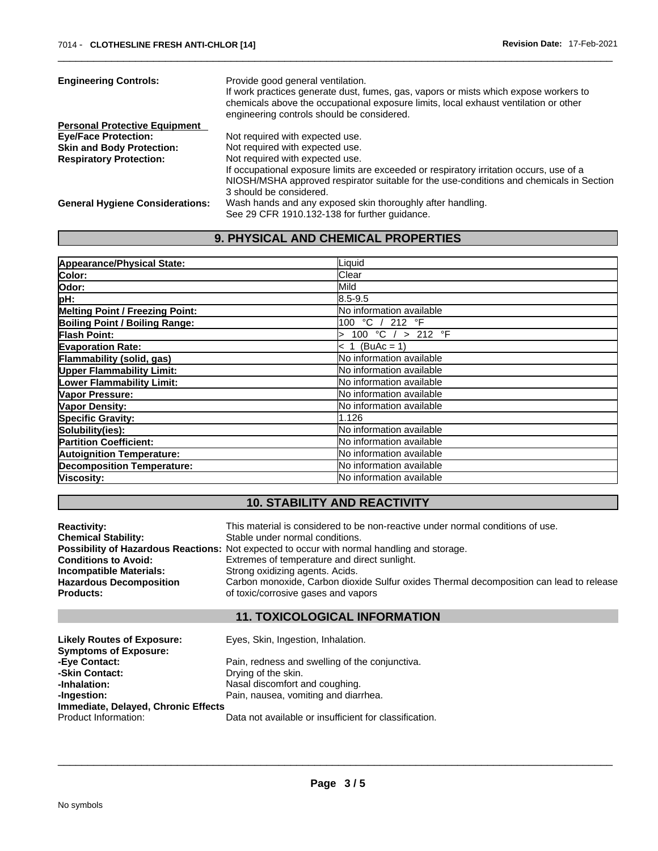| <b>Engineering Controls:</b>           | Provide good general ventilation.<br>If work practices generate dust, fumes, gas, vapors or mists which expose workers to<br>chemicals above the occupational exposure limits, local exhaust ventilation or other |
|----------------------------------------|-------------------------------------------------------------------------------------------------------------------------------------------------------------------------------------------------------------------|
|                                        | engineering controls should be considered.                                                                                                                                                                        |
| <b>Personal Protective Equipment</b>   |                                                                                                                                                                                                                   |
| <b>Eye/Face Protection:</b>            | Not required with expected use.                                                                                                                                                                                   |
| <b>Skin and Body Protection:</b>       | Not required with expected use.                                                                                                                                                                                   |
| <b>Respiratory Protection:</b>         | Not required with expected use.                                                                                                                                                                                   |
|                                        | If occupational exposure limits are exceeded or respiratory irritation occurs, use of a                                                                                                                           |
|                                        | NIOSH/MSHA approved respirator suitable for the use-conditions and chemicals in Section                                                                                                                           |
|                                        | 3 should be considered.                                                                                                                                                                                           |
| <b>General Hygiene Considerations:</b> | Wash hands and any exposed skin thoroughly after handling.                                                                                                                                                        |
|                                        | See 29 CFR 1910.132-138 for further guidance.                                                                                                                                                                     |

# **9. PHYSICAL AND CHEMICAL PROPERTIES**

| Appearance/Physical State:             | Liquid                          |
|----------------------------------------|---------------------------------|
| Color:                                 | Clear                           |
| lOdor:                                 | Mild                            |
| pH:                                    | 18.5-9.5                        |
| <b>Melting Point / Freezing Point:</b> | No information available        |
| Boiling Point / Boiling Range:         | 100 °C / 212 °F                 |
| <b>Flash Point:</b>                    | 100 °C / > 212 °F               |
| <b>Evaporation Rate:</b>               | $< 1$ (BuAc = 1)                |
| Flammability (solid, gas)              | No information available        |
| <b>Upper Flammability Limit:</b>       | No information available        |
| Lower Flammability Limit:              | lNo information available       |
| Vapor Pressure:                        | <b>No information available</b> |
| <b>Vapor Density:</b>                  | No information available        |
| <b>Specific Gravity:</b>               | 1.126                           |
| Solubility(ies):                       | No information available        |
| <b>Partition Coefficient:</b>          | No information available        |
| <b>Autoignition Temperature:</b>       | <b>No information available</b> |
| <b>Decomposition Temperature:</b>      | No information available        |
| Viscosity:                             | <b>No information available</b> |

# **10. STABILITY AND REACTIVITY**

| <b>Reactivity:</b>             | This material is considered to be non-reactive under normal conditions of use.              |
|--------------------------------|---------------------------------------------------------------------------------------------|
| <b>Chemical Stability:</b>     | Stable under normal conditions.                                                             |
|                                | Possibility of Hazardous Reactions: Not expected to occur with normal handling and storage. |
| <b>Conditions to Avoid:</b>    | Extremes of temperature and direct sunlight.                                                |
| Incompatible Materials:        | Strong oxidizing agents. Acids.                                                             |
| <b>Hazardous Decomposition</b> | Carbon monoxide, Carbon dioxide Sulfur oxides Thermal decomposition can lead to release     |
| <b>Products:</b>               | of toxic/corrosive gases and vapors                                                         |
|                                | <b>11. TOXICOLOGICAL INFORMATION</b>                                                        |
|                                |                                                                                             |

| <b>Likely Routes of Exposure:</b>   | Eyes, Skin, Ingestion, Inhalation.                     |
|-------------------------------------|--------------------------------------------------------|
| <b>Symptoms of Exposure:</b>        |                                                        |
| -Eye Contact:                       | Pain, redness and swelling of the conjunctiva.         |
| -Skin Contact:                      | Drying of the skin.                                    |
| -Inhalation:                        | Nasal discomfort and coughing.                         |
| -Ingestion:                         | Pain, nausea, vomiting and diarrhea.                   |
| Immediate, Delayed, Chronic Effects |                                                        |
| Product Information:                | Data not available or insufficient for classification. |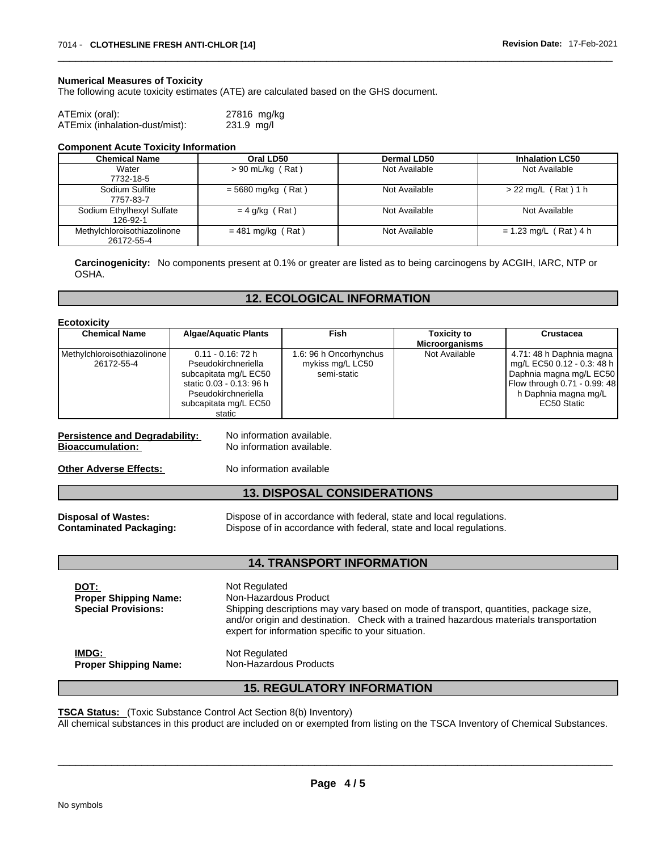#### **Numerical Measures of Toxicity**

The following acute toxicity estimates (ATE) are calculated based on the GHS document.

| ATEmix (oral):                 | 27816 mg/kg |
|--------------------------------|-------------|
| ATEmix (inhalation-dust/mist): | 231.9 mg/l  |

#### **Component Acute Toxicity Information**

| <b>Chemical Name</b>                      | Oral LD50            | Dermal LD50   | <b>Inhalation LC50</b>  |
|-------------------------------------------|----------------------|---------------|-------------------------|
| Water                                     | $> 90$ mL/kg (Rat)   | Not Available | Not Available           |
| 7732-18-5                                 |                      |               |                         |
| Sodium Sulfite                            | $=$ 5680 mg/kg (Rat) | Not Available | $> 22$ mg/L (Rat) 1 h   |
| 7757-83-7                                 |                      |               |                         |
| Sodium Ethylhexyl Sulfate<br>126-92-1     | $= 4$ g/kg (Rat)     | Not Available | Not Available           |
| Methylchloroisothiazolinone<br>26172-55-4 | $= 481$ mg/kg (Rat)  | Not Available | $= 1.23$ mg/L (Rat) 4 h |

**Carcinogenicity:** No components present at 0.1% or greater arelisted as to being carcinogens by ACGIH, IARC, NTP or OSHA.

## **12. ECOLOGICAL INFORMATION**

**Ecotoxicity** 

| <b>Chemical Name</b>        | <b>Algae/Aquatic Plants</b> | Fish                   | <b>Toxicity to</b>    | <b>Crustacea</b>             |
|-----------------------------|-----------------------------|------------------------|-----------------------|------------------------------|
|                             |                             |                        | <b>Microorganisms</b> |                              |
| Methylchloroisothiazolinone | $0.11 - 0.16$ : 72 h        | 1.6: 96 h Oncorhynchus | Not Available         | 4.71: 48 h Daphnia magna     |
| 26172-55-4                  | Pseudokirchneriella         | mykiss mg/L LC50       |                       | mg/L EC50 0.12 - 0.3: 48 h   |
|                             | subcapitata mg/L EC50       | semi-static            |                       | Daphnia magna mg/L EC50      |
|                             | static 0.03 - 0.13: 96 h    |                        |                       | Flow through 0.71 - 0.99: 48 |
|                             | Pseudokirchneriella         |                        |                       | h Daphnia magna mg/L         |
|                             | subcapitata mg/L EC50       |                        |                       | EC50 Static                  |
|                             | static                      |                        |                       |                              |

**Persistence and Degradability:** No information available. **Bioaccumulation:** No information available.

**Other Adverse Effects:** No information available

### **13. DISPOSAL CONSIDERATIONS**

**Disposal of Wastes:** Dispose of in accordance with federal, state and local regulations. **Contaminated Packaging:** Dispose of in accordance with federal, state and local regulations.

## **14. TRANSPORT INFORMATION**

| DOT:<br><b>Proper Shipping Name:</b><br><b>Special Provisions:</b> | Not Regulated<br>Non-Hazardous Product<br>Shipping descriptions may vary based on mode of transport, quantities, package size,<br>and/or origin and destination. Check with a trained hazardous materials transportation<br>expert for information specific to your situation. |
|--------------------------------------------------------------------|--------------------------------------------------------------------------------------------------------------------------------------------------------------------------------------------------------------------------------------------------------------------------------|
| IMDG:                                                              | Not Regulated                                                                                                                                                                                                                                                                  |
| <b>Proper Shipping Name:</b>                                       | Non-Hazardous Products                                                                                                                                                                                                                                                         |

## **15. REGULATORY INFORMATION**

**TSCA Status:** (Toxic Substance Control Act Section 8(b) Inventory)

All chemical substances in this product are included on or exempted from listing on the TSCA Inventory of Chemical Substances.